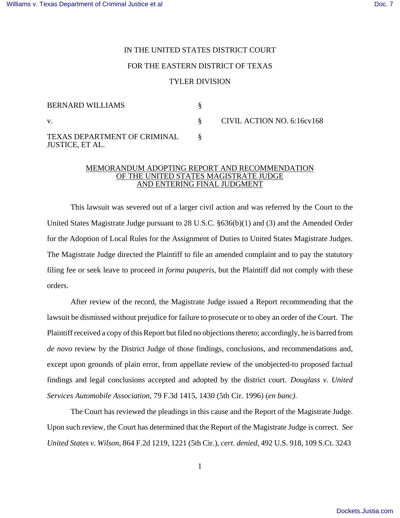## IN THE UNITED STATES DISTRICT COURT FOR THE EASTERN DISTRICT OF TEXAS TYLER DIVISION

| BERNARD WILLIAMS                                              |  |
|---------------------------------------------------------------|--|
| V.                                                            |  |
| <b>TEXAS DEPARTMENT OF CRIMINAL</b><br><b>JUSTICE, ET AL.</b> |  |

v. § CIVIL ACTION NO. 6:16cv168

## MEMORANDUM ADOPTING REPORT AND RECOMMENDATION OF THE UNITED STATES MAGISTRATE JUDGE AND ENTERING FINAL JUDGMENT

This lawsuit was severed out of a larger civil action and was referred by the Court to the United States Magistrate Judge pursuant to 28 U.S.C. §636(b)(1) and (3) and the Amended Order for the Adoption of Local Rules for the Assignment of Duties to United States Magistrate Judges. The Magistrate Judge directed the Plaintiff to file an amended complaint and to pay the statutory filing fee or seek leave to proceed *in forma pauperis*, but the Plaintiff did not comply with these orders.

After review of the record, the Magistrate Judge issued a Report recommending that the lawsuit be dismissed without prejudice for failure to prosecute or to obey an order of the Court. The Plaintiff received a copy of this Report but filed no objections thereto; accordingly, he is barred from *de novo* review by the District Judge of those findings, conclusions, and recommendations and, except upon grounds of plain error, from appellate review of the unobjected-to proposed factual findings and legal conclusions accepted and adopted by the district court. *Douglass v. United Services Automobile Association*, 79 F.3d 1415, 1430 (5th Cir. 1996) (*en banc)*.

The Court has reviewed the pleadings in this cause and the Report of the Magistrate Judge. Upon such review, the Court has determined that the Report of the Magistrate Judge is correct. *See United States v. Wilson*, 864 F.2d 1219, 1221 (5th Cir.), *cert. denied*, 492 U.S. 918, 109 S.Ct. 3243